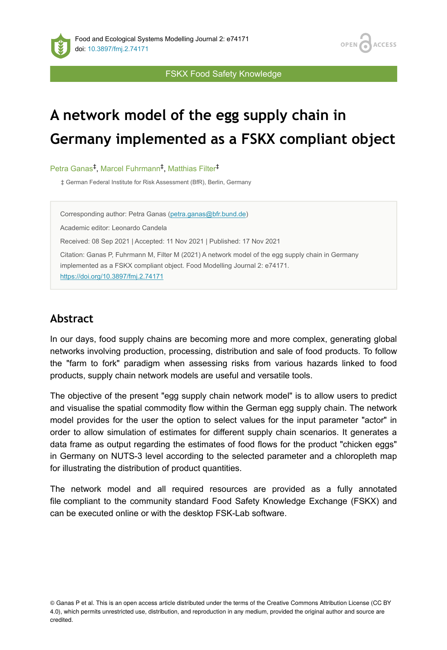**ACCESS OPEN** 

FSKX Food Safety Knowledge

# **A network model of the egg supply chain in Germany implemented as a FSKX compliant object**

Petra Ganas<sup>‡</sup>, Marcel Fuhrmann<sup>‡</sup>, Matthias Filter<sup>‡</sup>

‡ German Federal Institute for Risk Assessment (BfR), Berlin, Germany

Corresponding author: Petra Ganas [\(petra.ganas@bfr.bund.de](mailto:petra.ganas@bfr.bund.de))

Academic editor: Leonardo Candela

Received: 08 Sep 2021 | Accepted: 11 Nov 2021 | Published: 17 Nov 2021

Citation: Ganas P, Fuhrmann M, Filter M (2021) A network model of the egg supply chain in Germany implemented as a FSKX compliant object. Food Modelling Journal 2: e74171. <https://doi.org/10.3897/fmj.2.74171>

**Abstract**

In our days, food supply chains are becoming more and more complex, generating global networks involving production, processing, distribution and sale of food products. To follow the "farm to fork" paradigm when assessing risks from various hazards linked to food products, supply chain network models are useful and versatile tools.

The objective of the present "egg supply chain network model" is to allow users to predict and visualise the spatial commodity flow within the German egg supply chain. The network model provides for the user the option to select values for the input parameter "actor" in order to allow simulation of estimates for different supply chain scenarios. It generates a data frame as output regarding the estimates of food flows for the product "chicken eggs" in Germany on NUTS-3 level according to the selected parameter and a chloropleth map for illustrating the distribution of product quantities.

The network model and all required resources are provided as a fully annotated file compliant to the community standard Food Safety Knowledge Exchange (FSKX) and can be executed online or with the desktop FSK-Lab software.

© Ganas P et al. This is an open access article distributed under the terms of the Creative Commons Attribution License (CC BY 4.0), which permits unrestricted use, distribution, and reproduction in any medium, provided the original author and source are credited.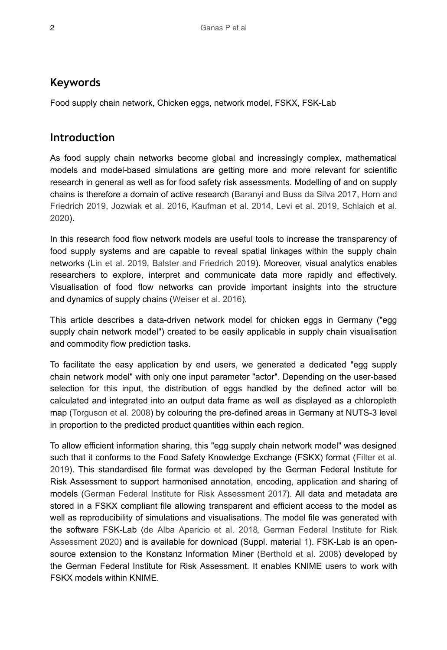# **Keywords**

Food supply chain network, Chicken eggs, network model, FSKX, FSK-Lab

## **Introduction**

As food supply chain networks become global and increasingly complex, mathematical models and model-based simulations are getting more and more relevant for scientific research in general as well as for food safety risk assessments. Modelling of and on supply chains is therefore a domain of active research [\(Baranyi and Buss da Silva 2017](#page-9-0), [Horn and](#page-10-0) [Friedrich 2019,](#page-10-0) [Jozwiak et al. 2016,](#page-10-1) [Kaufman et al. 2014](#page-10-2), [Levi et al. 2019](#page-10-3), [Schlaich et al.](#page-10-4) [2020](#page-10-4)).

In this research food flow network models are useful tools to increase the transparency of food supply systems and are capable to reveal spatial linkages within the supply chain networks ([Lin et al. 2019,](#page-10-5) [Balster and Friedrich 2019](#page-9-1)). Moreover, visual analytics enables researchers to explore, interpret and communicate data more rapidly and effectively. Visualisation of food flow networks can provide important insights into the structure and dynamics of supply chains ([Weiser et al. 2016\)](#page-10-6).

This article describes a data-driven network model for chicken eggs in Germany ("egg supply chain network model") created to be easily applicable in supply chain visualisation and commodity flow prediction tasks.

To facilitate the easy application by end users, we generated a dedicated "egg supply chain network model" with only one input parameter "actor". Depending on the user-based selection for this input, the distribution of eggs handled by the defined actor will be calculated and integrated into an output data frame as well as displayed as a chloropleth map ([Torguson et al. 2008](#page-10-7)) by colouring the pre-defined areas in Germany at NUTS-3 level in proportion to the predicted product quantities within each region.

To allow efficient information sharing, this "egg supply chain network model" was designed such that it conforms to the Food Safety Knowledge Exchange (FSKX) format [\(Filter et al.](#page-10-8) [2019](#page-10-8)). This standardised file format was developed by the German Federal Institute for Risk Assessment to support harmonised annotation, encoding, application and sharing of models ([German Federal Institute for Risk Assessment 2017\)](#page-10-9). All data and metadata are stored in a FSKX compliant file allowing transparent and efficient access to the model as well as reproducibility of simulations and visualisations. The model file was generated with the software FSK-Lab [\(de Alba Aparicio et al. 2018,](#page-9-2) [German Federal Institute for Risk](#page-10-10) [Assessment 2020](#page-10-10)) and is available for download (Suppl. material [1\)](#page-10-11). FSK-Lab is an opensource extension to the Konstanz Information Miner ([Berthold et al. 2008\)](#page-9-3) developed by the German Federal Institute for Risk Assessment. It enables KNIME users to work with FSKX models within KNIME.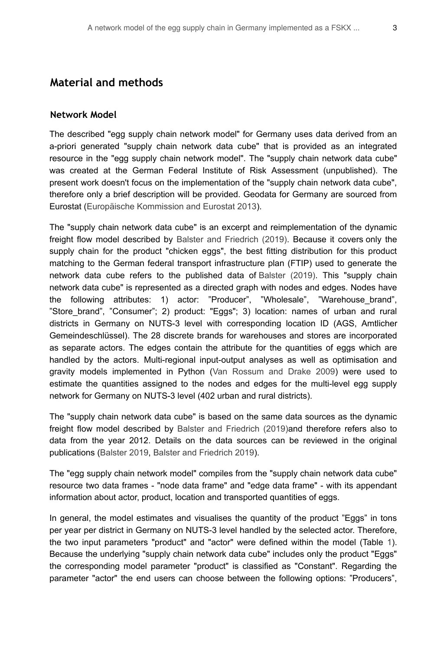#### **Material and methods**

#### **Network Model**

The described "egg supply chain network model" for Germany uses data derived from an a-priori generated "supply chain network data cube" that is provided as an integrated resource in the "egg supply chain network model". The "supply chain network data cube" was created at the German Federal Institute of Risk Assessment (unpublished). The present work doesn't focus on the implementation of the "supply chain network data cube", therefore only a brief description will be provided. Geodata for Germany are sourced from Eurostat ([Europäische Kommission and Eurostat 2013](#page-9-4)).

The "supply chain network data cube" is an excerpt and reimplementation of the dynamic freight flow model described by [Balster and Friedrich \(2019\)](#page-9-1). Because it covers only the supply chain for the product "chicken eggs", the best fitting distribution for this product matching to the German federal transport infrastructure plan (FTIP) used to generate the network data cube refers to the published data of [Balster \(2019\).](#page-9-5) This "supply chain network data cube" is represented as a directed graph with nodes and edges. Nodes have the following attributes: 1) actor: "Producer", "Wholesale", "Warehouse\_brand", "Store\_brand", "Consumer"; 2) product: "Eggs"; 3) location: names of urban and rural districts in Germany on NUTS-3 level with corresponding location ID (AGS, Amtlicher Gemeindeschlüssel). The 28 discrete brands for warehouses and stores are incorporated as separate actors. The edges contain the attribute for the quantities of eggs which are handled by the actors. Multi-regional input-output analyses as well as optimisation and gravity models implemented in Python [\(Van Rossum and Drake 2009](#page-10-12)) were used to estimate the quantities assigned to the nodes and edges for the multi-level egg supply network for Germany on NUTS-3 level (402 urban and rural districts).

The "supply chain network data cube" is based on the same data sources as the dynamic freight flow model described by [Balster and Friedrich \(2019\)](#page-9-1)and therefore refers also to data from the year 2012. Details on the data sources can be reviewed in the original publications ([Balster 2019](#page-9-5), [Balster and Friedrich 2019\)](#page-9-1).

The "egg supply chain network model" compiles from the "supply chain network data cube" resource two data frames - "node data frame" and "edge data frame" - with its appendant information about actor, product, location and transported quantities of eggs.

In general, the model estimates and visualises the quantity of the product "Eggs" in tons per year per district in Germany on NUTS-3 level handled by the selected actor. Therefore, the two input parameters "product" and "actor" were defined within the model (Table [1\)](#page-3-0). Because the underlying "supply chain network data cube" includes only the product "Eggs" the corresponding model parameter "product" is classified as "Constant". Regarding the parameter "actor" the end users can choose between the following options: "Producers",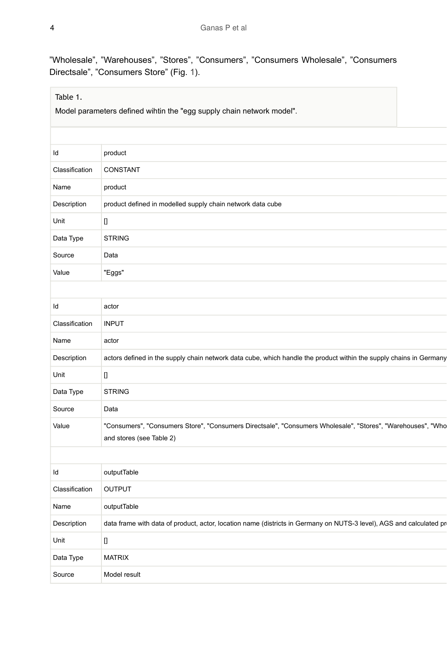"Wholesale", "Warehouses", "Stores", "Consumers", "Consumers Wholesale", "Consumers Directsale", "Consumers Store" (Fig. [1\)](#page-4-0).

#### <span id="page-3-0"></span>Table 1.

Model parameters defined wihtin the "egg supply chain network model".

| ld             | product                                                                                                                                 |
|----------------|-----------------------------------------------------------------------------------------------------------------------------------------|
| Classification | CONSTANT                                                                                                                                |
| Name           | product                                                                                                                                 |
| Description    | product defined in modelled supply chain network data cube                                                                              |
| Unit           | П                                                                                                                                       |
| Data Type      | <b>STRING</b>                                                                                                                           |
| Source         | Data                                                                                                                                    |
| Value          | "Eggs"                                                                                                                                  |
|                |                                                                                                                                         |
| ld             | actor                                                                                                                                   |
| Classification | <b>INPUT</b>                                                                                                                            |
| Name           | actor                                                                                                                                   |
| Description    | actors defined in the supply chain network data cube, which handle the product within the supply chains in Germany                      |
| Unit           | $\mathbf 0$                                                                                                                             |
| Data Type      | <b>STRING</b>                                                                                                                           |
| Source         | Data                                                                                                                                    |
| Value          | "Consumers", "Consumers Store", "Consumers Directsale", "Consumers Wholesale", "Stores", "Warehouses", "Who<br>and stores (see Table 2) |
|                |                                                                                                                                         |
| ld             | outputTable                                                                                                                             |
| Classification | OUTPUT                                                                                                                                  |
| Name           | outputTable                                                                                                                             |
| Description    | data frame with data of product, actor, location name (districts in Germany on NUTS-3 level), AGS and calculated pr                     |
| Unit           | O                                                                                                                                       |
| Data Type      | <b>MATRIX</b>                                                                                                                           |
| Source         | Model result                                                                                                                            |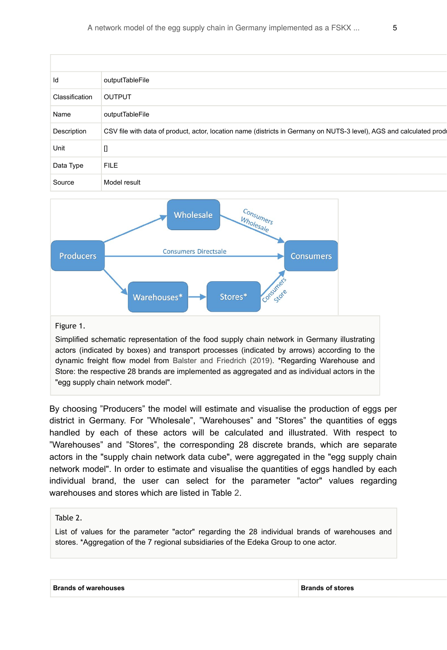| Id             | outputTableFile                                                                                                     |
|----------------|---------------------------------------------------------------------------------------------------------------------|
| Classification | <b>OUTPUT</b>                                                                                                       |
| Name           | outputTableFile                                                                                                     |
| Description    | CSV file with data of product, actor, location name (districts in Germany on NUTS-3 level), AGS and calculated prod |
| Unit           | u                                                                                                                   |
| Data Type      | <b>FILE</b>                                                                                                         |
| Source         | Model result                                                                                                        |

<span id="page-4-0"></span>

#### Figure 1.

Simplified schematic representation of the food supply chain network in Germany illustrating actors (indicated by boxes) and transport processes (indicated by arrows) according to the dynamic freight flow model from [Balster and Friedrich \(2019\).](#page-9-1) \*Regarding Warehouse and Store: the respective 28 brands are implemented as aggregated and as individual actors in the "egg supply chain network model".

By choosing "Producers" the model will estimate and visualise the production of eggs per district in Germany. For "Wholesale", "Warehouses" and "Stores" the quantities of eggs handled by each of these actors will be calculated and illustrated. With respect to "Warehouses" and "Stores", the corresponding 28 discrete brands, which are separate actors in the "supply chain network data cube", were aggregated in the "egg supply chain network model". In order to estimate and visualise the quantities of eggs handled by each individual brand, the user can select for the parameter "actor" values regarding warehouses and stores which are listed in Table [2](#page-4-1).

#### <span id="page-4-1"></span>Table 2.

List of values for the parameter "actor" regarding the 28 individual brands of warehouses and stores. \*Aggregation of the 7 regional subsidiaries of the Edeka Group to one actor.

|  | <b>Brands of warehouses</b> |
|--|-----------------------------|
|--|-----------------------------|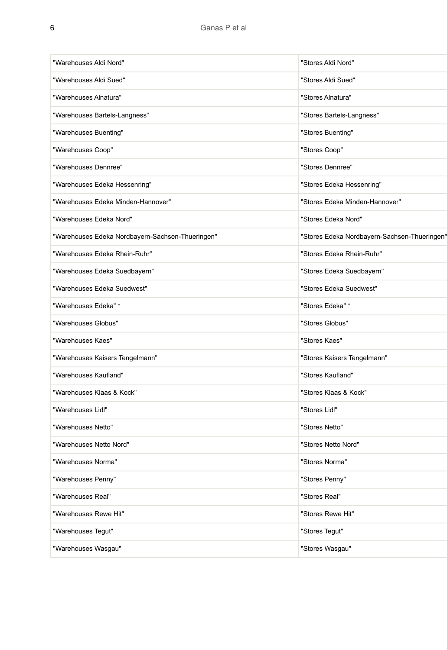| "Warehouses Aldi Nord"                           | "Stores Aldi Nord"                           |
|--------------------------------------------------|----------------------------------------------|
| "Warehouses Aldi Sued"                           | "Stores Aldi Sued"                           |
| "Warehouses Alnatura"                            | "Stores Alnatura"                            |
| "Warehouses Bartels-Langness"                    | "Stores Bartels-Langness"                    |
| "Warehouses Buenting"                            | "Stores Buenting"                            |
| "Warehouses Coop"                                | "Stores Coop"                                |
| "Warehouses Dennree"                             | "Stores Dennree"                             |
| "Warehouses Edeka Hessenring"                    | "Stores Edeka Hessenring"                    |
| "Warehouses Edeka Minden-Hannover"               | "Stores Edeka Minden-Hannover"               |
| "Warehouses Edeka Nord"                          | "Stores Edeka Nord"                          |
| "Warehouses Edeka Nordbayern-Sachsen-Thueringen" | "Stores Edeka Nordbayern-Sachsen-Thueringen" |
| "Warehouses Edeka Rhein-Ruhr"                    | "Stores Edeka Rhein-Ruhr"                    |
| "Warehouses Edeka Suedbayern"                    | "Stores Edeka Suedbayern"                    |
| "Warehouses Edeka Suedwest"                      | "Stores Edeka Suedwest"                      |
| "Warehouses Edeka" *                             | "Stores Edeka" *                             |
| "Warehouses Globus"                              | "Stores Globus"                              |
| "Warehouses Kaes"                                | "Stores Kaes"                                |
| "Warehouses Kaisers Tengelmann"                  | "Stores Kaisers Tengelmann"                  |
| "Warehouses Kaufland"                            | "Stores Kaufland"                            |
| "Warehouses Klaas & Kock"                        | "Stores Klaas & Kock"                        |
| "Warehouses Lidl"                                | "Stores Lidl"                                |
| "Warehouses Netto"                               | "Stores Netto"                               |
| "Warehouses Netto Nord"                          | "Stores Netto Nord"                          |
| "Warehouses Norma"                               | "Stores Norma"                               |
| "Warehouses Penny"                               | "Stores Penny"                               |
| "Warehouses Real"                                | "Stores Real"                                |
| "Warehouses Rewe Hit"                            | "Stores Rewe Hit"                            |
| "Warehouses Tegut"                               | "Stores Tegut"                               |
| "Warehouses Wasqau"                              | "Stores Wasgau"                              |
|                                                  |                                              |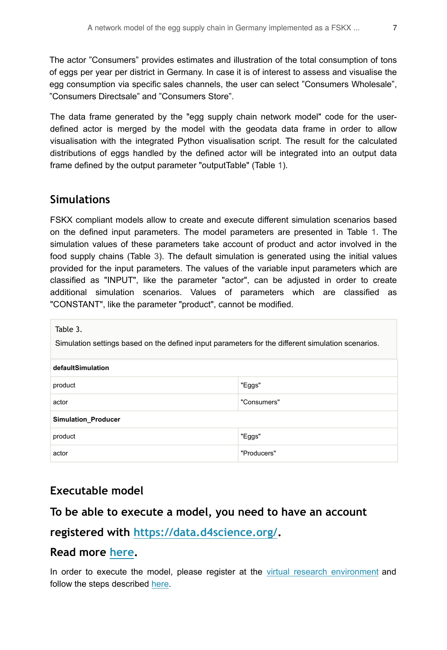The actor "Consumers" provides estimates and illustration of the total consumption of tons of eggs per year per district in Germany. In case it is of interest to assess and visualise the egg consumption via specific sales channels, the user can select "Consumers Wholesale", "Consumers Directsale" and "Consumers Store".

The data frame generated by the "egg supply chain network model" code for the userdefined actor is merged by the model with the geodata data frame in order to allow visualisation with the integrated Python visualisation script. The result for the calculated distributions of eggs handled by the defined actor will be integrated into an output data frame defined by the output parameter "outputTable" (Table [1](#page-3-0)).

#### **Simulations**

FSKX compliant models allow to create and execute different simulation scenarios based on the defined input parameters. The model parameters are presented in Table [1](#page-3-0). The simulation values of these parameters take account of product and actor involved in the food supply chains (Table [3](#page-6-0)). The default simulation is generated using the initial values provided for the input parameters. The values of the variable input parameters which are classified as "INPUT", like the parameter "actor", can be adjusted in order to create additional simulation scenarios. Values of parameters which are classified as "CONSTANT", like the parameter "product", cannot be modified.

<span id="page-6-0"></span>Table 3.

Simulation settings based on the defined input parameters for the different simulation scenarios.

| defaultSimulation   |             |  |  |  |
|---------------------|-------------|--|--|--|
| product             | "Eggs"      |  |  |  |
| actor               | "Consumers" |  |  |  |
| Simulation_Producer |             |  |  |  |
| product             | "Eggs"      |  |  |  |
| actor               | "Producers" |  |  |  |

## **Executable model**

#### **To be able to execute a model, you need to have an account**

## **registered with <https://data.d4science.org/>.**

#### **Read more [here](https://fmj.pensoft.net/about#Executablemodels).**

In order to execute the model, please register at the [virtual research environment](https://aginfra.d4science.org/) and follow the steps described [here.](https://fmj.pensoft.net/about#Executablemodels)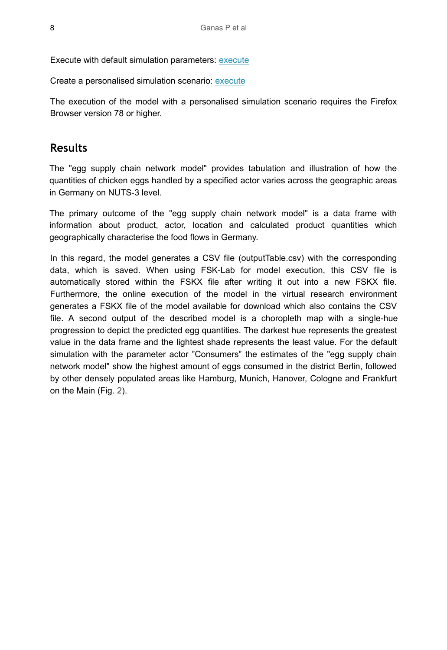Execute with default simulation parameters: [execute](https://aginfra.d4science.org/group/fmj_lab/analytics-exec?dim=https://data.d4science.org/shub/E_WTBpSlBXaUROeTlyNldKdjRzNE9FNUZZVDVoT2dMUks3UGlkYWl0RXZPeWZBZVVCNTlmbEtlVTBuSnR6N0F2Zw==)

Create a personalised simulation scenario: [execute](https://aginfra.d4science.org/group/fmj_lab/model-simulation-configuration?&knime:access_token=eyJhbGciOiJIUzI1NiJ9.eyJzdWIiOiJhZG1pbiIsInJvbGVzIjpbImFkbWluIl0sInNhbHQiOiJmNWUwZGIxZTU1ZDdkZDkyIiwidG9rZW5OYW1lIjoidG9rZW5WUkUiLCJ3b3JrZmxvd1BhdGgiOiIvVlJFL3NpbXVsYXRpb25fc2V0dGluZ3MiLCJ0b2tlblR5cGUiOiJ3b3JrZmxvd1Rva2VuIn0.Fpb2Et1Z66sWB4hJVXTt4YgrrItNdsdgfGjhtIy6BuY&pm:file_ID=E_dm9WYmdvWkNXUjlORWx5WUl3OFdXZTQxV3FHbnpWRGI2SnFLUHlIc004MkpwRnVzNUUwMk1IZ2YvNmVWK3BqbQ==)

The execution of the model with a personalised simulation scenario requires the Firefox Browser version 78 or higher.

### **Results**

The "egg supply chain network model" provides tabulation and illustration of how the quantities of chicken eggs handled by a specified actor varies across the geographic areas in Germany on NUTS-3 level.

The primary outcome of the "egg supply chain network model" is a data frame with information about product, actor, location and calculated product quantities which geographically characterise the food flows in Germany.

In this regard, the model generates a CSV file (outputTable.csv) with the corresponding data, which is saved. When using FSK-Lab for model execution, this CSV file is automatically stored within the FSKX file after writing it out into a new FSKX file. Furthermore, the online execution of the model in the virtual research environment generates a FSKX file of the model available for download which also contains the CSV file. A second output of the described model is a choropleth map with a single-hue progression to depict the predicted egg quantities. The darkest hue represents the greatest value in the data frame and the lightest shade represents the least value. For the default simulation with the parameter actor "Consumers" the estimates of the "egg supply chain network model" show the highest amount of eggs consumed in the district Berlin, followed by other densely populated areas like Hamburg, Munich, Hanover, Cologne and Frankfurt on the Main (Fig. [2](#page-8-0)).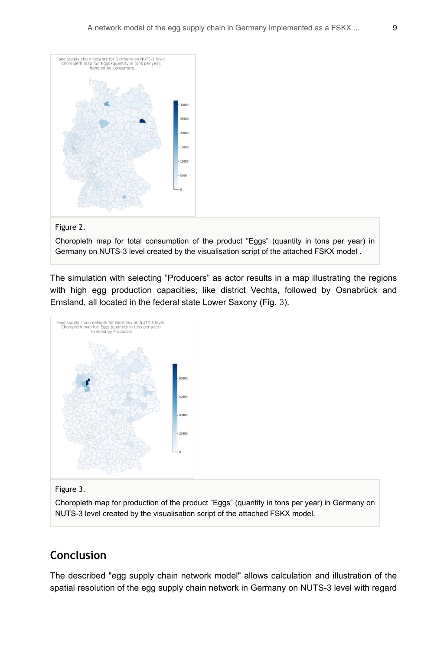<span id="page-8-0"></span>

#### Figure 2.

Choropleth map for total consumption of the product "Eggs" (quantity in tons per year) in Germany on NUTS-3 level created by the visualisation script of the attached FSKX model .

The simulation with selecting "Producers" as actor results in a map illustrating the regions with high egg production capacities, like district Vechta, followed by Osnabrück and Emsland, all located in the federal state Lower Saxony (Fig. [3](#page-8-1)).

<span id="page-8-1"></span>

#### Figure 3.

Choropleth map for production of the product "Eggs" (quantity in tons per year) in Germany on NUTS-3 level created by the visualisation script of the attached FSKX model.

## **Conclusion**

The described "egg supply chain network model" allows calculation and illustration of the spatial resolution of the egg supply chain network in Germany on NUTS-3 level with regard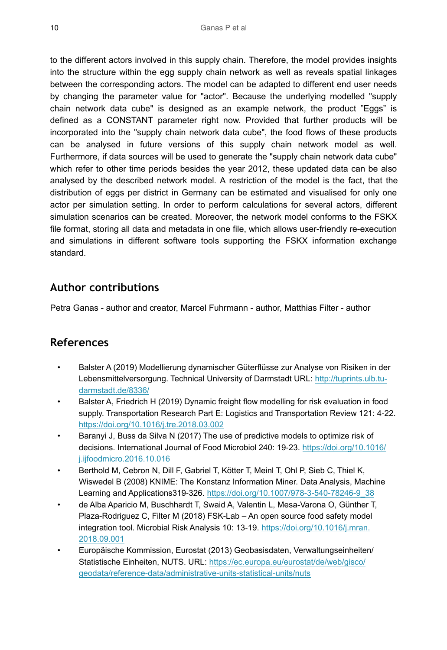to the different actors involved in this supply chain. Therefore, the model provides insights into the structure within the egg supply chain network as well as reveals spatial linkages between the corresponding actors. The model can be adapted to different end user needs by changing the parameter value for "actor". Because the underlying modelled "supply chain network data cube" is designed as an example network, the product "Eggs" is defined as a CONSTANT parameter right now. Provided that further products will be incorporated into the "supply chain network data cube", the food flows of these products can be analysed in future versions of this supply chain network model as well. Furthermore, if data sources will be used to generate the "supply chain network data cube" which refer to other time periods besides the year 2012, these updated data can be also analysed by the described network model. A restriction of the model is the fact, that the distribution of eggs per district in Germany can be estimated and visualised for only one actor per simulation setting. In order to perform calculations for several actors, different simulation scenarios can be created. Moreover, the network model conforms to the FSKX file format, storing all data and metadata in one file, which allows user-friendly re-execution and simulations in different software tools supporting the FSKX information exchange standard.

## **Author contributions**

Petra Ganas - author and creator, Marcel Fuhrmann - author, Matthias Filter - author

## **References**

- <span id="page-9-5"></span>• Balster A (2019) Modellierung dynamischer Güterflüsse zur Analyse von Risiken in der Lebensmittelversorgung. Technical University of Darmstadt URL: [http://tuprints.ulb.tu](http://tuprints.ulb.tu-darmstadt.de/8336/)[darmstadt.de/8336/](http://tuprints.ulb.tu-darmstadt.de/8336/)
- <span id="page-9-1"></span>• Balster A, Friedrich H (2019) Dynamic freight flow modelling for risk evaluation in food supply. Transportation Research Part E: Logistics and Transportation Review 121: 4‑22. <https://doi.org/10.1016/j.tre.2018.03.002>
- <span id="page-9-0"></span>Baranyi J, Buss da Silva N (2017) The use of predictive models to optimize risk of decisions. International Journal of Food Microbiol 240: 19‑23. [https://doi.org/10.1016/](https://doi.org/10.1016/j.ijfoodmicro.2016.10.016) [j.ijfoodmicro.2016.10.016](https://doi.org/10.1016/j.ijfoodmicro.2016.10.016)
- <span id="page-9-3"></span>Berthold M, Cebron N, Dill F, Gabriel T, Kötter T, Meinl T, Ohl P, Sieb C, Thiel K, Wiswedel B (2008) KNIME: The Konstanz Information Miner. Data Analysis, Machine Learning and Applications319‑326. [https://doi.org/10.1007/978-3-540-78246-9\\_38](https://doi.org/10.1007/978-3-540-78246-9_38)
- <span id="page-9-2"></span>• de Alba Aparicio M, Buschhardt T, Swaid A, Valentin L, Mesa-Varona O, Günther T, Plaza-Rodriguez C, Filter M (2018) FSK-Lab – An open source food safety model integration tool. Microbial Risk Analysis 10: 13-19. [https://doi.org/10.1016/j.mran.](https://doi.org/10.1016/j.mran.2018.09.001) [2018.09.001](https://doi.org/10.1016/j.mran.2018.09.001)
- <span id="page-9-4"></span>• Europäische Kommission, Eurostat (2013) Geobasisdaten, Verwaltungseinheiten/ Statistische Einheiten, NUTS. URL: [https://ec.europa.eu/eurostat/de/web/gisco/](https://ec.europa.eu/eurostat/de/web/gisco/geodata/reference-data/administrative-units-statistical-units/nuts) [geodata/reference-data/administrative-units-statistical-units/nuts](https://ec.europa.eu/eurostat/de/web/gisco/geodata/reference-data/administrative-units-statistical-units/nuts)